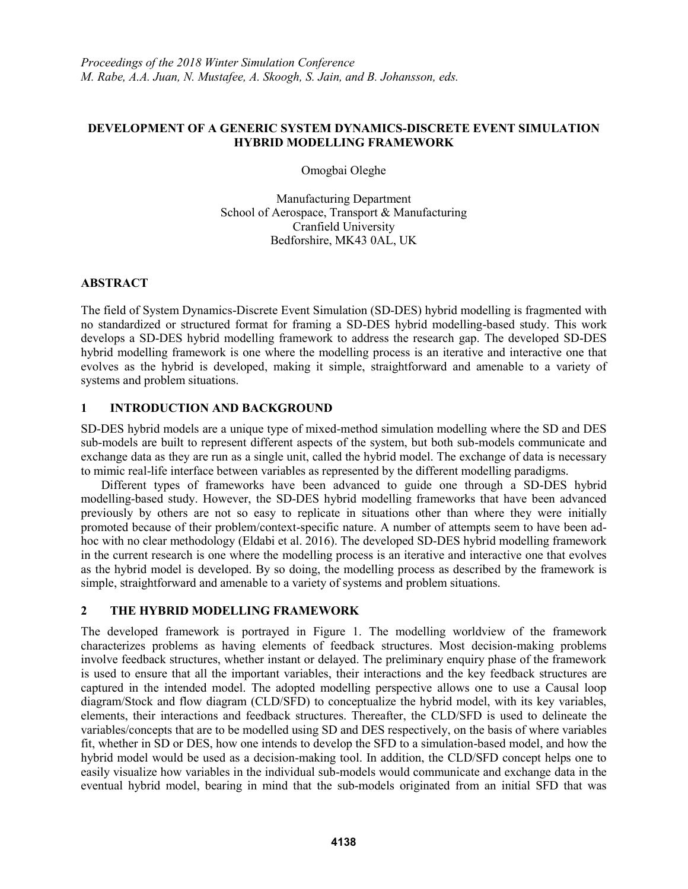## **DEVELOPMENT OF A GENERIC SYSTEM DYNAMICS-DISCRETE EVENT SIMULATION HYBRID MODELLING FRAMEWORK**

Omogbai Oleghe

Manufacturing Department School of Aerospace, Transport & Manufacturing Cranfield University Bedforshire, MK43 0AL, UK

## **ABSTRACT**

The field of System Dynamics-Discrete Event Simulation (SD-DES) hybrid modelling is fragmented with no standardized or structured format for framing a SD-DES hybrid modelling-based study. This work develops a SD-DES hybrid modelling framework to address the research gap. The developed SD-DES hybrid modelling framework is one where the modelling process is an iterative and interactive one that evolves as the hybrid is developed, making it simple, straightforward and amenable to a variety of systems and problem situations.

# **1 INTRODUCTION AND BACKGROUND**

SD-DES hybrid models are a unique type of mixed-method simulation modelling where the SD and DES sub-models are built to represent different aspects of the system, but both sub-models communicate and exchange data as they are run as a single unit, called the hybrid model. The exchange of data is necessary to mimic real-life interface between variables as represented by the different modelling paradigms.

Different types of frameworks have been advanced to guide one through a SD-DES hybrid modelling-based study. However, the SD-DES hybrid modelling frameworks that have been advanced previously by others are not so easy to replicate in situations other than where they were initially promoted because of their problem/context-specific nature. A number of attempts seem to have been adhoc with no clear methodology (Eldabi et al. 2016). The developed SD-DES hybrid modelling framework in the current research is one where the modelling process is an iterative and interactive one that evolves as the hybrid model is developed. By so doing, the modelling process as described by the framework is simple, straightforward and amenable to a variety of systems and problem situations.

# **2 THE HYBRID MODELLING FRAMEWORK**

The developed framework is portrayed in Figure 1. The modelling worldview of the framework characterizes problems as having elements of feedback structures. Most decision-making problems involve feedback structures, whether instant or delayed. The preliminary enquiry phase of the framework is used to ensure that all the important variables, their interactions and the key feedback structures are captured in the intended model. The adopted modelling perspective allows one to use a Causal loop diagram/Stock and flow diagram (CLD/SFD) to conceptualize the hybrid model, with its key variables, elements, their interactions and feedback structures. Thereafter, the CLD/SFD is used to delineate the variables/concepts that are to be modelled using SD and DES respectively, on the basis of where variables fit, whether in SD or DES, how one intends to develop the SFD to a simulation-based model, and how the hybrid model would be used as a decision-making tool. In addition, the CLD/SFD concept helps one to easily visualize how variables in the individual sub-models would communicate and exchange data in the eventual hybrid model, bearing in mind that the sub-models originated from an initial SFD that was